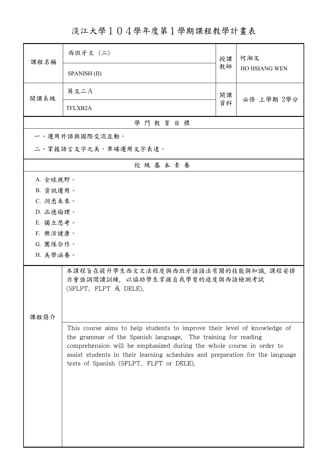淡江大學104學年度第1學期課程教學計畫表

| 課程名稱                                                                                          | 西班牙文 (二)                                                                                                                                                                                                                                                                                                                                     | 授課 | 何湘文<br>HO HSIANG WEN |  |  |  |
|-----------------------------------------------------------------------------------------------|----------------------------------------------------------------------------------------------------------------------------------------------------------------------------------------------------------------------------------------------------------------------------------------------------------------------------------------------|----|----------------------|--|--|--|
|                                                                                               | <b>SPANISH (II)</b>                                                                                                                                                                                                                                                                                                                          | 教師 |                      |  |  |  |
| 開課系級                                                                                          | 英文二A                                                                                                                                                                                                                                                                                                                                         | 開課 | 必修 上學期 2學分           |  |  |  |
|                                                                                               | TFLXB2A                                                                                                                                                                                                                                                                                                                                      | 資料 |                      |  |  |  |
|                                                                                               | 學門教育目標                                                                                                                                                                                                                                                                                                                                       |    |                      |  |  |  |
|                                                                                               | 一、運用外語與國際交流互動。                                                                                                                                                                                                                                                                                                                               |    |                      |  |  |  |
| 二、掌握語言文字之美,準確運用文字表達。                                                                          |                                                                                                                                                                                                                                                                                                                                              |    |                      |  |  |  |
|                                                                                               | 校級基本素養                                                                                                                                                                                                                                                                                                                                       |    |                      |  |  |  |
| A. 全球視野。                                                                                      |                                                                                                                                                                                                                                                                                                                                              |    |                      |  |  |  |
| B. 資訊運用。                                                                                      |                                                                                                                                                                                                                                                                                                                                              |    |                      |  |  |  |
| C. 洞悉未來。                                                                                      |                                                                                                                                                                                                                                                                                                                                              |    |                      |  |  |  |
| D. 品德倫理。                                                                                      |                                                                                                                                                                                                                                                                                                                                              |    |                      |  |  |  |
| E. 獨立思考。                                                                                      |                                                                                                                                                                                                                                                                                                                                              |    |                      |  |  |  |
| F. 樂活健康。                                                                                      |                                                                                                                                                                                                                                                                                                                                              |    |                      |  |  |  |
| G. 團隊合作。                                                                                      |                                                                                                                                                                                                                                                                                                                                              |    |                      |  |  |  |
| H. 美學涵養。                                                                                      |                                                                                                                                                                                                                                                                                                                                              |    |                      |  |  |  |
| 本課程旨在提升學生西文文法程度與西班牙語語法有關的技能與知識,課程安排<br>亦會強調閱讀訓練,以協助學生掌握自我學習的進度與西語檢測考試<br>(SFLPT、FLPT 或 DELE)。 |                                                                                                                                                                                                                                                                                                                                              |    |                      |  |  |  |
|                                                                                               |                                                                                                                                                                                                                                                                                                                                              |    |                      |  |  |  |
| 課程簡介                                                                                          |                                                                                                                                                                                                                                                                                                                                              |    |                      |  |  |  |
|                                                                                               | This course aims to help students to improve their level of knowledge of<br>the grammar of the Spanish language. The training for reading<br>comprehension will be emphasized during the whole course in order to<br>assist students in their learning schedules and preparation for the language<br>tests of Spanish (SFLPT, FLPT or DELE). |    |                      |  |  |  |
|                                                                                               |                                                                                                                                                                                                                                                                                                                                              |    |                      |  |  |  |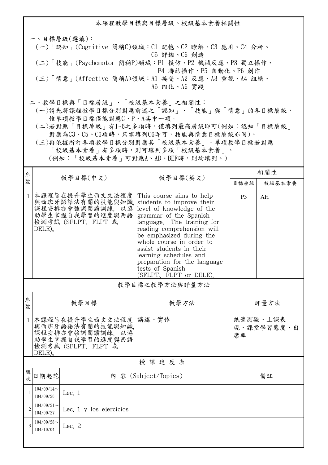本課程教學目標與目標層級、校級基本素養相關性 一、目標層級(選填): (一)「認知」(Cognitive 簡稱C)領域:C1 記憶、C2 瞭解、C3 應用、C4 分析、 C5 評鑑、C6 創造 (二)「技能」(Psychomotor 簡稱P)領域:P1 模仿、P2 機械反應、P3 獨立操作、 P4 聯結操作、P5 自動化、P6 創作 (三)「情意」(Affective 簡稱A)領域:A1 接受、A2 反應、A3 重視、A4 組織、 A5 內化、A6 實踐 二、教學目標與「目標層級」、「校級基本素養」之相關性: (一)請先將課程教學目標分別對應前述之「認知」、「技能」與「情意」的各目標層級, 惟單項教學目標僅能對應C、P、A其中一項。

 (二)若對應「目標層級」有1~6之多項時,僅填列最高層級即可(例如:認知「目標層級」 對應為C3、C5、C6項時,只需填列C6即可,技能與情意目標層級亦同)。

 (三)再依據所訂各項教學目標分別對應其「校級基本素養」。單項教學目標若對應 「校級基本素養」有多項時,則可填列多項「校級基本素養」。 (例如:「校級基本素養」可對應A、AD、BEF時,則均填列。)

| 序<br>號         | 教學目標(中文)                                              |                                                                                                |                                                                                                                                                                                                                                                                                                                                                                      | 相關性            |                        |  |  |
|----------------|-------------------------------------------------------|------------------------------------------------------------------------------------------------|----------------------------------------------------------------------------------------------------------------------------------------------------------------------------------------------------------------------------------------------------------------------------------------------------------------------------------------------------------------------|----------------|------------------------|--|--|
|                |                                                       |                                                                                                | 教學目標(英文)                                                                                                                                                                                                                                                                                                                                                             | 目標層級           | 校級基本素養                 |  |  |
| $\mathbf{1}$   | DELE)                                                 | 本課程旨在提升學生西文文法程度<br>與西班牙語語法有關的技能與知識<br>課程安排亦會強調閱讀訓練,以協<br>助學生掌握自我學習的進度與西語<br>檢測考試 (SFLPT、FLPT 或 | This course aims to help<br>students to improve their<br>level of knowledge of the<br>grammar of the Spanish<br>language. The training for<br>reading comprehension will<br>be emphasized during the<br>whole course in order to<br>assist students in their<br>learning schedules and<br>preparation for the language<br>tests of Spanish<br>(SFLPT, FLPT or DELE). | P <sub>3</sub> | AH                     |  |  |
|                | 教學目標之教學方法與評量方法                                        |                                                                                                |                                                                                                                                                                                                                                                                                                                                                                      |                |                        |  |  |
| 序<br>號         | 教學目標                                                  |                                                                                                | 教學方法                                                                                                                                                                                                                                                                                                                                                                 | 評量方法           |                        |  |  |
| $\mathbf{1}$   | DELE)                                                 | 本課程旨在提升學生西文文法程度<br>與西班牙語語法有關的技能與知識<br>課程安排亦會強調閱讀訓練,以協<br>助學生掌握自我學習的進度與西語<br>檢測考試 (SFLPT、FLPT 或 | 講述、實作                                                                                                                                                                                                                                                                                                                                                                | 席率             | 紙筆測驗、上課表<br>現、課堂學習態度、出 |  |  |
| 授課進度表          |                                                       |                                                                                                |                                                                                                                                                                                                                                                                                                                                                                      |                |                        |  |  |
| 週<br>一大        | 日期起訖                                                  |                                                                                                | 內 容 (Subject/Topics)                                                                                                                                                                                                                                                                                                                                                 | 備註             |                        |  |  |
| $\mathbf{1}$   | $104/09/14$ ~<br>104/09/20                            | Lec. $1$                                                                                       |                                                                                                                                                                                                                                                                                                                                                                      |                |                        |  |  |
| $\overline{2}$ | $104/09/21$ ~<br>Lec. 1 y los ejercicios<br>104/09/27 |                                                                                                |                                                                                                                                                                                                                                                                                                                                                                      |                |                        |  |  |
| $\overline{3}$ | $104/09/28$ ~<br>104/10/04                            | Lec. 2                                                                                         |                                                                                                                                                                                                                                                                                                                                                                      |                |                        |  |  |
|                |                                                       |                                                                                                |                                                                                                                                                                                                                                                                                                                                                                      |                |                        |  |  |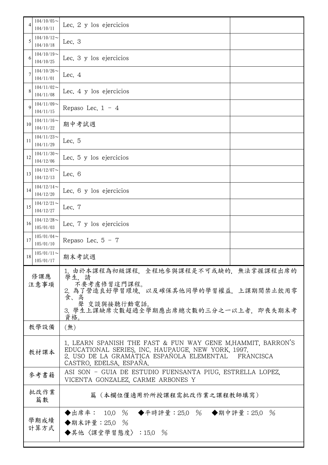| 4           | $104/10/05$ ~<br>104/10/11                                                                             | Lec. 2 y los ejercicios                                                                                                                                                                             |  |
|-------------|--------------------------------------------------------------------------------------------------------|-----------------------------------------------------------------------------------------------------------------------------------------------------------------------------------------------------|--|
| 5           | $104/10/12$ ~<br>104/10/18                                                                             | Lec. $3$                                                                                                                                                                                            |  |
| 6           | $104/10/19$ ~<br>104/10/25                                                                             | Lec. 3 y los ejercicios                                                                                                                                                                             |  |
| 7           | $104/10/26$ ~<br>104/11/01                                                                             | Lec. $4$                                                                                                                                                                                            |  |
| 8           | $104/11/02$ ~<br>104/11/08                                                                             | Lec. 4 y los ejercicios                                                                                                                                                                             |  |
| 9           | $104/11/09$ ~<br>104/11/15                                                                             | Repaso Lec. $1 - 4$                                                                                                                                                                                 |  |
| 10          | $104/11/16 \sim$<br>104/11/22                                                                          | 期中考試週                                                                                                                                                                                               |  |
| 11          | $104/11/23$ ~<br>104/11/29                                                                             | Lec. 5                                                                                                                                                                                              |  |
| 12          | $104/11/30 \sim$<br>104/12/06                                                                          | Lec. 5 y los ejercicios                                                                                                                                                                             |  |
| 13          | $104/12/07$ ~<br>104/12/13                                                                             | Lec. 6                                                                                                                                                                                              |  |
| 14          | $104/12/14$ ~<br>104/12/20                                                                             | Lec. 6 y los ejercicios                                                                                                                                                                             |  |
| 15          | $104/12/21$ ~<br>104/12/27                                                                             | Lec. 7                                                                                                                                                                                              |  |
| 16          | $104/12/28$ ~<br>105/01/03                                                                             | Lec. 7 y los ejercicios                                                                                                                                                                             |  |
| 17          | $105/01/04$ ~<br>105/01/10                                                                             | Repaso Lec. $5 - 7$                                                                                                                                                                                 |  |
| 18          | $105/01/11$ ~<br>105/01/17                                                                             | 期末考試週                                                                                                                                                                                               |  |
| 修課應<br>注意事項 |                                                                                                        | 1. 由於本課程為初級課程, 全程地參與課程是不可或缺的, 無法掌握課程出席的<br>學生,請<br>不要考慮修習這門課程。<br>2. 為了營造良好學習環境, 以及確保其他同學的學習權益, 上課期間禁止飲用零<br>食、<br>高<br>聲 交談與接聽行動電話。<br>3. 學生上課缺席次數超過全學期應出席總次數的三分之一以上者. 即喪失期末考<br>資格。               |  |
|             | 教學設備                                                                                                   | (無)                                                                                                                                                                                                 |  |
|             | 教材課本                                                                                                   | 1. LEARN SPANISH THE FAST & FUN WAY GENE M.HAMMIT, BARRON'S<br>EDUCATIONAL SERIES, INC. HAUPAUGE, NEW YORK, 1997.<br>2. USO DE LA GRAMÁTICA ESPAÑOLA ELEMENTAL FRANCISCA<br>CASTRO, EDELSA, ESPAÑA. |  |
|             | ASI SON - GUIA DE ESTUDIO FUENSANTA PIUG, ESTRELLA LOPEZ,<br>參考書籍<br>VICENTA GONZALEZ, CARME ARBONES Y |                                                                                                                                                                                                     |  |
|             | 批改作業<br>篇數                                                                                             | 篇(本欄位僅適用於所授課程需批改作業之課程教師填寫)                                                                                                                                                                          |  |
|             | 學期成績<br>計算方式                                                                                           | ◆出席率: 10.0 % ◆平時評量:25.0 % ◆期中評量:25.0<br>$\frac{0}{6}$<br>◆期末評量: 25.0 %<br>◆其他〈課堂學習態度〉:15.0 %                                                                                                        |  |